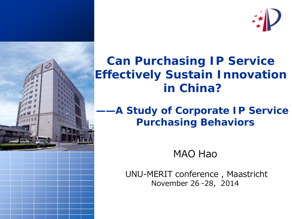



 *——A Study of Corporate IP Service Purchasing Behaviors*

MAO Hao

UNU-MERIT conference , Maastricht November 26 -28, 2014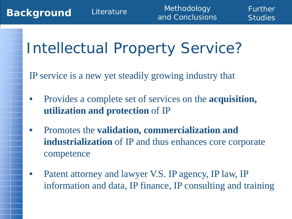# Intellectual Property Service?

IP service is a new yet steadily growing industry that

- Provides a complete set of services on the **acquisition, utilization and protection** of IP
- Promotes the **validation, commercialization and industrialization** of IP and thus enhances core corporate competence
- Patent attorney and lawyer V.S. IP agency, IP law, IP information and data, IP finance, IP consulting and training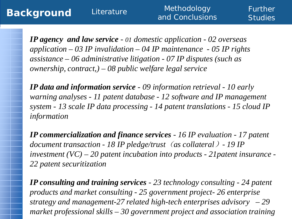Further **Studies** 

*IP agency and law service - 01 domestic application - 02 overseas application – 03 IP invalidation – 04 IP maintenance - 05 IP rights assistance – 06 administrative litigation - 07 IP disputes (such as ownership, contract,) – 08 public welfare legal service*

*IP data and information service - 09 information retrieval - 10 early warning analyses - 11 patent database - 12 software and IP management system - 13 scale IP data processing - 14 patent translations - 15 cloud IP information*

*IP commercialization and finance services - 16 IP evaluation - 17 patent document transaction - 18 IP pledge/trust*(*as collateral*)*- 19 IP investment (VC) – 20 patent incubation into products - 21patent insurance - 22 patent securitization*

*IP consulting and training services - 23 technology consulting - 24 patent products and market consulting - 25 government project- 26 enterprise strategy and management-27 related high-tech enterprises advisory – 29 market professional skills – 30 government project and association training*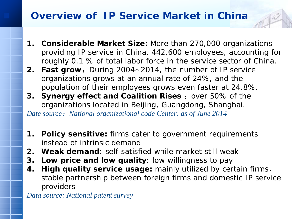# **Overview of IP Service Market in China**

- **1. Considerable Market Size:** More than 270,000 organizations providing IP service in China, 442,600 employees, accounting for roughly 0.1 % of total labor force in the service sector of China.
- **2. Fast grow:** During 2004~2014, the number of IP service organizations grows at an annual rate of 24%, and the population of their employees grows even faster at 24.8%.
- **3. Synergy effect and Coalition Rises :** over 50% of the organizations located in Beijing, Guangdong, Shanghai. *Date source*:*National organizational code Center: as of June 2014*
- **1. Policy sensitive:** firms cater to government requirements instead of intrinsic demand
- **2. Weak demand**: self-satisfied while market still weak
- **3. Low price and low quality**: low willingness to pay
- **4. High quality service usage:** mainly utilized by certain firms, stable partnership between foreign firms and domestic IP service providers

*Data source: National patent survey*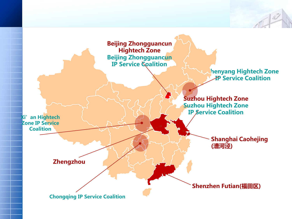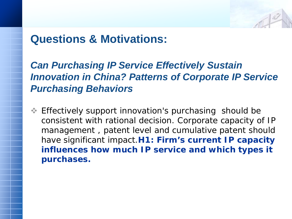# **Questions & Motivations:**

# *Can Purchasing IP Service Effectively Sustain Innovation in China? Patterns of Corporate IP Service Purchasing Behaviors*

**Effectively support innovation's purchasing should be** consistent with rational decision. Corporate capacity of IP management , patent level and cumulative patent should have significant impact.**H1: Firm's current IP capacity influences how much IP service and which types it purchases.**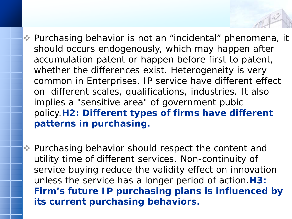- Purchasing behavior is not an "incidental" phenomena, it should occurs endogenously, which may happen after accumulation patent or happen before first to patent, whether the differences exist. Heterogeneity is very common in Enterprises, IP service have different effect on different scales, qualifications, industries. It also implies a "sensitive area" of government pubic policy.**H2: Different types of firms have different patterns in purchasing.**
- Purchasing behavior should respect the content and utility time of different services. Non-continuity of service buying reduce the validity effect on innovation unless the service has a longer period of action.**H3: Firm's future IP purchasing plans is influenced by its current purchasing behaviors.**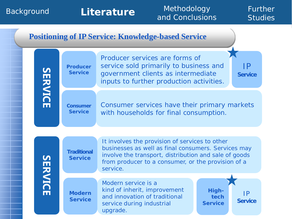#### Background **Literature** Methodology Further and Conclusions **Studies Positioning of IP Service: Knowledge-based Service** Producer services are forms of service sold primarily to business and IP **Producer SERVICE SERVICE Service** government clients as intermediate **Service** inputs to further production activities. Consumer services have their primary markets **Consumer Service** with households for final consumption. It involves the provision of services to other businesses as well as final consumers. Services may **Traditional**  involve the transport, distribution and sale of goods **SERVICE SERVICE Service** from producer to a consumer, or the provision of a service. Modern service is a kind of inherit, improvement **High-Modern** IP and innovation of traditional **tech Service Service** service during industrial 8 **Service**

upgrade.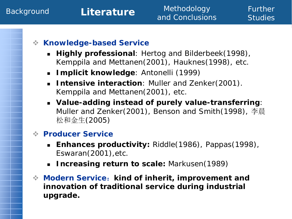## Background **Literature** Methodology and Conclusions

Further **Studies** 

## **Knowledge-based Service**

- **Highly professional**: Hertog and Bilderbeek(1998), Kemppila and Mettanen(2001), Hauknes(1998), etc.
- **Implicit knowledge**: Antonelli (1999)
- **Intensive interaction**: Muller and Zenker(2001). Kemppila and Mettanen(2001), etc.
- **Value-adding instead of purely value-transferring**: Muller and Zenker(2001), Benson and Smith(1998), 李晨 松和金生(2005)

### **Producer Service**

- **Enhances productivity:** Riddle(1986), Pappas(1998), Eswaran(2001),etc.
- **Increasing return to scale:** Markusen(1989)
- **Modern Service**:**kind of inherit, improvement and innovation of traditional service during industrial upgrade.**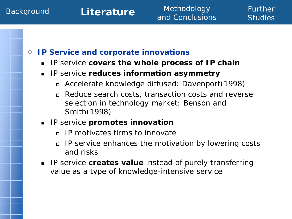# **IP Service and corporate innovations**

**IF Service covers the whole process of IP chain** 

# **IP service reduces information asymmetry**

- Accelerate knowledge diffused: Davenport(1998)
- Reduce search costs, transaction costs and reverse selection in technology market: Benson and Smith(1998)

# **IP service promotes innovation**

- IP motivates firms to innovate
- IP service enhances the motivation by lowering costs and risks
- **IF Service creates value instead of purely transferring** value as a type of knowledge-intensive service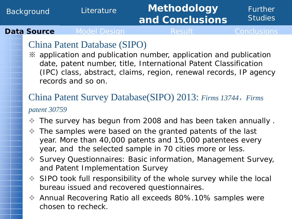#### Background Literature **Methodology and Conclusions** Further **Studies Data Source** Model Design Result Conclusions

# China Patent Database (SIPO)

※ application and publication number, application and publication date, patent number, title, International Patent Classification (IPC) class, abstract, claims, region, renewal records, IP agency records and so on.

# China Patent Survey Database(SIPO) 2013: *Firms 13744*,*Firms patent 30759*

- The survey has begun from 2008 and has been taken annually .
- The samples were based on the granted patents of the last year. More than 40,000 patents and 15,000 patentees every year, and the selected sample in 70 cities more or less.
- Survey Questionnaires: Basic information, Management Survey, and Patent Implementation Survey
- SIPO took full responsibility of the whole survey while the local bureau issued and recovered questionnaires.
- Annual Recovering Ratio all exceeds 80%.10% samples were chosen to recheck.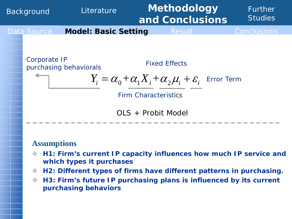

### **Assumptions**

- **H1: Firm's current IP capacity influences how much IP service and which types it purchases**
- **H2: Different types of firms have different patterns in purchasing.**
- **H3: Firm's future IP purchasing plans is influenced by its current purchasing behaviors**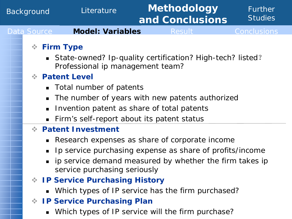### Background Literature **Methodology and Conclusions** Further **Studies** Data Source **Model: Variables** Result Conclusions **Firm Type**  State-owned? Ip-quality certification? High-tech? listed? Professional ip management team?

# **Patent Level**

- *Total number of patents*
- *The number of years with new patents authorized*
- *Invention patent as share of total patents*
- Firm's self-report about its patent status

# **Patent Investment**

- Research expenses as share of corporate income
- Ip service purchasing expense as share of profits/income
- ip service demand measured by whether the firm takes ip service purchasing seriously
- **IP Service Purchasing History**
	- Which types of IP service has the firm purchased?
- **IP Service Purchasing Plan**
	- Which types of IP service will the firm purchase?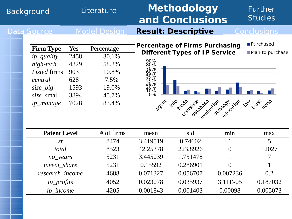### Background Literature **Methodology and Conclusions** Further **Studies** Data Source Model Design **Result: Descriptive** Conclusions **Purchased**

| <b>Firm Type</b> | Yes  | Percentage |
|------------------|------|------------|
| ip_quality       | 2458 | 30.1%      |
| high-tech        | 4829 | 58.2%      |
| Listed firms     | 903  | 10.8%      |
| central          | 628  | 7.5%       |
| size_big         | 1593 | 19.0%      |
| size_small       | 3894 | 45.7%      |
| ip_manage        | 7028 | 83.4%      |

**Percentage of Firms Purchasing Different Types of IP Service**



Plan to purchase

| <b>Patent Level</b> | $#$ of firms | mean     | std      | min      | max      |
|---------------------|--------------|----------|----------|----------|----------|
| <i>st</i>           | 8474         | 3.419519 | 0.74602  |          | 5        |
| total               | 8523         | 42.25378 | 223.8926 | $\theta$ | 12027    |
| no_years            | 5231         | 3.445039 | 1.751478 |          | 7        |
| invent share        | 5231         | 0.15592  | 0.286901 | $\Omega$ |          |
| research income     | 4688         | 0.071327 | 0.056707 | 0.007236 | 0.2      |
| <i>ip_profits</i>   | 4052         | 0.023078 | 0.035937 | 3.11E-05 | 0.187032 |
| <i>ip_income</i>    | 4205         | 0.001843 | 0.001403 | 0.00098  | 0.005073 |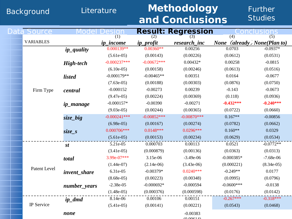# Background Literature **Methodology and Conclusions**

# Further **Studies**

| Data Source      |                     |                  |                                   | <b>Result: Regression</b>    | . on         | ions                    |  |
|------------------|---------------------|------------------|-----------------------------------|------------------------------|--------------|-------------------------|--|
|                  |                     | (1)              | (2)                               |                              | (4)          | (5)                     |  |
| <b>VARIABLES</b> |                     | <i>ip_income</i> | ip_profit                         | research_inc                 | <b>None</b>  | (already) None(Plan to) |  |
|                  | <i>ip_quality</i>   | $0.000139**$     | $0.00360**$                       | 0.00256                      | 0.0703       | $-0.0937*$              |  |
|                  |                     | $(5.61e-05)$     | (0.00143)                         | (0.00226)                    | (0.0612)     | (0.0531)                |  |
|                  | High-tech           | $-0.000237***$   | $-0.00672***$                     | $0.00432*$                   | 0.00258      | $-0.0815$               |  |
|                  |                     | $(6.10e-05)$     | (0.00158)                         | (0.00246)                    | (0.0613)     | (0.0516)                |  |
|                  | <i>listed</i>       | $-0.000179**$    | 0.0164<br>$-0.00465**$<br>0.00351 |                              |              | $-0.0677$               |  |
|                  |                     | $(7.63e-05)$     | (0.00188)                         | (0.00303)                    | (0.0876)     | (0.0750)                |  |
| Firm Type        | central             | $-0.000152$      | $-0.00273$                        | 0.00239                      | $-0.143$     | $-0.0673$               |  |
|                  |                     | $(9.47e-05)$     | (0.00224)                         | (0.00369)                    | (0.118)      | (0.0936)                |  |
|                  | <i>ip_manage</i>    | $-0.000157*$     | $-0.00390$                        | $-0.00271$                   | $-0.432***$  | $-0.240***$             |  |
|                  |                     | $(9.03e-05)$     | (0.00244)                         | (0.00365)                    | (0.0722)     | (0.0660)                |  |
|                  | size_big            | $-0.000241***$   | $-0.00852***$                     | $-0.00870$ ***               | $0.167**$    | $-0.00856$              |  |
|                  |                     | $(6.98e-05)$     | (0.00167)                         | (0.00274)                    | (0.0782)     | (0.0662)                |  |
|                  | size_s              | $0.000706***$    | $0.0148***$                       | $0.0296***$                  | $0.160**$    | 0.0329                  |  |
|                  |                     | $(5.61e-05)$     | (0.00153)                         | (0.00234)                    | (0.0629)     | (0.0534)                |  |
|                  | st                  | 5.21e-05         | 0.000703                          | 0.00113                      | 0.0521       | $-0.0772**$             |  |
|                  |                     | $(3.41e-05)$     | (0.000879)<br>(0.00136)           |                              | (0.0363)     | (0.0313)                |  |
|                  | total               | 3.99e-07***      | 3.15e-06                          | $-3.49e-06$                  | $-0.000385*$ | $-7.68e-06$             |  |
|                  |                     | $(1.44e-07)$     | $(2.14e-06)$                      | $(3.43e-06)$<br>(0.000221)   |              | $(8.34e-05)$            |  |
| Patent Level     | <i>invent</i> share | 6.31e-05         | $-0.00379*$                       | $0.0240***$<br>$-0.249**$    |              | 0.0177                  |  |
|                  |                     | $(8.68e-05)$     | (0.00223)                         | (0.00348)                    | (0.0995)     | (0.0796)                |  |
|                  | number_years        | $-2.38e-05$      | $-0.000692*$                      | $-0.0600$ ***<br>$-0.000594$ |              | $-0.0138$               |  |
|                  |                     | $(1.48e-05)$     | (0.000376)                        | (0.000598)                   | (0.0176)     | (0.0142)                |  |
|                  | ip_dmd              | 8.14e-06         | 0.00106                           | 0.00151                      | $-0.267***$  | $-0.318***$             |  |
| IP Service       |                     | $(5.41e-05)$     | (0.00141)                         | (0.00221)                    | (0.0543)     | (0.0468)                |  |
|                  | none                |                  |                                   | $-0.00383$<br>(0.00614)      |              |                         |  |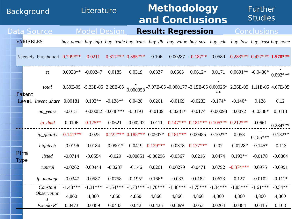# Background Literature **Methodology and Conclusions**

Further

**Studies** 

|              |                  | Data Source                |                                                                                                     |            | Model Design                                                                                           |                                 |                      | <b>Result: Regression</b>                   |                       |            |                                                     | <b>Conclusions</b>             |            |
|--------------|------------------|----------------------------|-----------------------------------------------------------------------------------------------------|------------|--------------------------------------------------------------------------------------------------------|---------------------------------|----------------------|---------------------------------------------|-----------------------|------------|-----------------------------------------------------|--------------------------------|------------|
|              | <b>VARIABLES</b> |                            | buy_agent buy_info buy_trade buy_trans buy_db buy_value buy_stra buy_edu buy_law buy_trust buy_none |            |                                                                                                        |                                 |                      |                                             |                       |            |                                                     |                                |            |
|              |                  | Already Purchased 0.799*** |                                                                                                     | 0.0211     |                                                                                                        | $0.317***$ 0.385***             | $-0.106$             | 0.00287                                     | $-0.187**$            | 0.0589     |                                                     | $0.283***$ $0.477***$ 1.578*** |            |
|              |                  | St                         | $0.0928**$                                                                                          | $-0.00247$ | 0.0185                                                                                                 | 0.0319                          | 0.0337               | 0.0663                                      |                       |            | $0.0612*$ $0.0171$ $0.0691**$ $-0.0480*$ $0.092***$ |                                |            |
| Patent       |                  | total                      |                                                                                                     |            | 3.59E-05 -5.23E-05 2.28E-05 0.000358 -7.07E-05 -0.000177 -3.15E-05 0.00026* 2.26E-05 1.11E-05 4.07E-05 |                                 |                      |                                             |                       |            |                                                     |                                |            |
|              |                  | Level <i>invent_share</i>  | 0.00181                                                                                             | $0.103**$  | $-0.138**$                                                                                             | 0.0428                          | 0.0261               | $-0.0169$                                   | $-0.0233$             | $-0.174*$  | $-0.140*$                                           | 0.128                          | 0.12       |
|              |                  | $no\_years$                | $-0.0151$                                                                                           |            | $-0.00082 - 0.048***$                                                                                  | $-0.0193$                       | $-0.0109$            | $-0.0281*$                                  | $-0.0174$             | $-0.00098$ | 0.0072                                              | $-0.0338*$                     | 0.0118     |
|              |                  | $ip\_dmd$                  | 0.0106                                                                                              | $0.125**$  | 0.0621                                                                                                 | $-0.00292$                      | 0.0111               | $0.147***$ $0.181***$ $0.105***$ $0.212***$ |                       |            |                                                     | 0.0661                         | $0.284***$ |
|              |                  | <i>ip_quality</i>          | $-0.141***$                                                                                         | $-0.025$   |                                                                                                        | $0.222***$ $0.185***$ $0.0907*$ |                      | $0.181***$ 0.00485 -0.102**                 |                       |            | 0.058                                               | $0.185***$ <sup>-0.132**</sup> |            |
|              |                  | hightech                   | $-0.0196$                                                                                           | 0.0184     | $-0.0901*$                                                                                             | 0.0419                          | $0.129***$           | $-0.0378$                                   | $0.177***$            | 0.07       | $-0.0728*$                                          | $-0.145*$                      | $-0.113$   |
| Firm<br>Type |                  | listed                     | $-0.0714$                                                                                           | $-0.0554$  | $-0.029$                                                                                               |                                 | $-0.00851 - 0.00296$ | $-0.0367$                                   | 0.0216                | 0.0474     | $0.193**$                                           | $-0.0178$                      | $-0.0864$  |
|              |                  | central                    | $-0.0262$                                                                                           | 0.00444    | $-0.0237$                                                                                              | $-0.146$                        | 0.0261               | 0.00279                                     | $-0.0471$             | 0.0792     | $-0.374***$                                         | 0.0975                         | $-0.0991$  |
|              |                  | ip_manage                  | $-0.0347$                                                                                           | 0.0587     | 0.0758                                                                                                 | $-0.195*$                       | $0.166*$             | $-0.033$                                    | 0.0182                | 0.0673     | 0.127                                               | $-0.0102$                      | $-0.111*$  |
|              |                  | Constant                   | $-1.48***$                                                                                          | $-1.31***$ | $-1.54***$                                                                                             | $-1.73***$                      | $-1.70***$           | $-1.48***$                                  | $-1.75***$ $-1.34***$ |            | $-1.85***$                                          | $-1.61***$                     | $-0.54**$  |
|              |                  | <i><b>Observation</b></i>  | 4,860                                                                                               | 4,860      | 4,860                                                                                                  | 4,860                           | 4,860                | 4,860                                       | 4,860                 | 4,860      | 4,860                                               | 4,860                          | 4,860      |
|              |                  | Pseudo $R^2$               | 0.0473                                                                                              | 0.0389     | 0.0443                                                                                                 | 0.042                           | 0.0425               | 0.0399                                      | 0.053                 | 0.0204     | 0.0384                                              | 0.0415                         | 0.168      |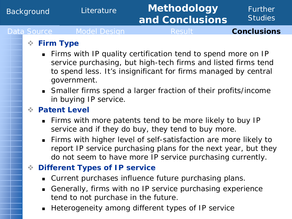### Background Literature **Methodology and Conclusions** Further **Studies** Data Source Model Design Result **Conclusions**

# **Firm Type**

- **Firms with IP quality certification tend to spend more on IP** service purchasing, but high-tech firms and listed firms tend to spend less. It's insignificant for firms managed by central government.
- Smaller firms spend a larger fraction of their profits/income in buying IP service.

## **Patent Level**

- Firms with more patents tend to be more likely to buy IP service and if they do buy, they tend to buy more.
- Firms with higher level of self-satisfaction are more likely to report IP service purchasing plans for the next year, but they do not seem to have more IP service purchasing currently.

# **Different Types of IP service**

- Current purchases influence future purchasing plans.
- Generally, firms with no IP service purchasing experience tend to not purchase in the future.
- **Heterogeneity among different types of IP service**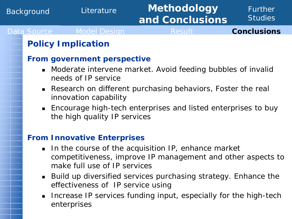### Background Literature **Methodology and Conclusions** Further **Studies** Data Source Model Design Result **Conclusions**

# **Policy Implication**

### **From government perspective**

- Moderate intervene market. Avoid feeding bubbles of invalid needs of IP service
- Research on different purchasing behaviors, Foster the real innovation capability
- Encourage high-tech enterprises and listed enterprises to buy the high quality IP services

### **From Innovative Enterprises**

- In the course of the acquisition IP, enhance market competitiveness, improve IP management and other aspects to make full use of IP services
- Build up diversified services purchasing strategy. Enhance the effectiveness of IP service using
- **Increase IP services funding input, especially for the high-tech** enterprises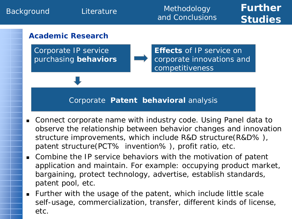

### Corporate **Patent behavioral** analysis

- Connect corporate name with industry code. Using Panel data to observe the relationship between behavior changes and innovation structure improvements, which include R&D structure(R&D% ), patent structure(PCT% invention% ), profit ratio, etc.
- Combine the IP service behaviors with the motivation of patent application and maintain. For example: occupying product market, bargaining, protect technology, advertise, establish standards, patent pool, etc.
- Further with the usage of the patent, which include little scale self-usage, commercialization, transfer, different kinds of license, etc.